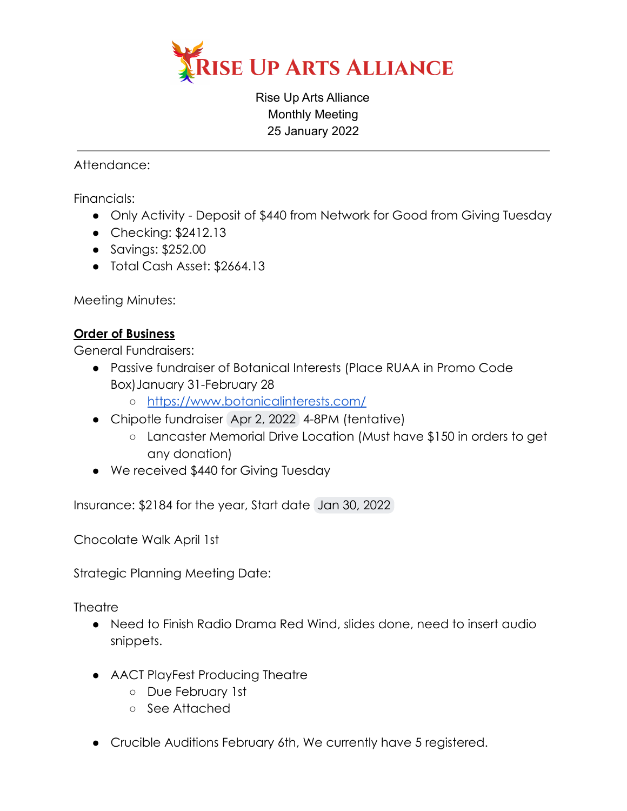

Rise Up Arts Alliance Monthly Meeting 25 January 2022

Attendance:

Financials:

- Only Activity Deposit of \$440 from Network for Good from Giving Tuesday
- Checking: \$2412.13
- Savings: \$252.00
- Total Cash Asset: \$2664.13

Meeting Minutes:

## **Order of Business**

General Fundraisers:

- Passive fundraiser of Botanical Interests (Place RUAA in Promo Code Box)January 31-February 28
	- <https://www.botanicalinterests.com/>
- Chipotle fundraiser Apr 2, 2022 4-8PM (tentative)
	- Lancaster Memorial Drive Location (Must have \$150 in orders to get any donation)
- We received \$440 for Giving Tuesday

Insurance: \$2184 for the year, Start date Jan 30, 2022

Chocolate Walk April 1st

Strategic Planning Meeting Date:

**Theatre** 

- Need to Finish Radio Drama Red Wind, slides done, need to insert audio snippets.
- AACT PlayFest Producing Theatre
	- Due February 1st
	- See Attached
- Crucible Auditions February 6th, We currently have 5 registered.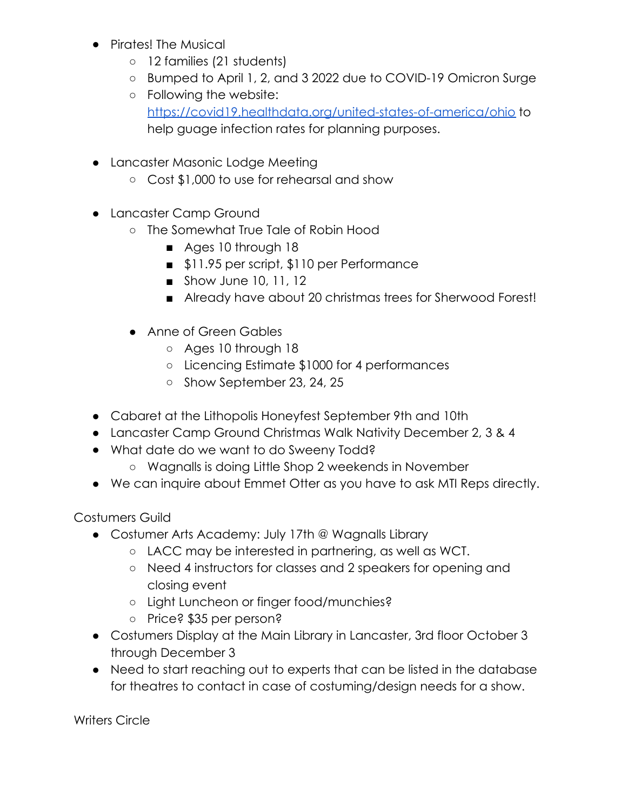- Pirates! The Musical
	- 12 families (21 students)
	- Bumped to April 1, 2, and 3 2022 due to COVID-19 Omicron Surge
	- Following the website: <https://covid19.healthdata.org/united-states-of-america/ohio> to help guage infection rates for planning purposes.
- Lancaster Masonic Lodge Meeting
	- Cost \$1,000 to use for rehearsal and show
- Lancaster Camp Ground
	- The Somewhat True Tale of Robin Hood
		- Ages 10 through 18
		- \$11.95 per script, \$110 per Performance
		- Show June 10, 11, 12
		- Already have about 20 christmas trees for Sherwood Forest!
	- Anne of Green Gables
		- Ages 10 through 18
		- Licencing Estimate \$1000 for 4 performances
		- Show September 23, 24, 25
- Cabaret at the Lithopolis Honeyfest September 9th and 10th
- Lancaster Camp Ground Christmas Walk Nativity December 2, 3 & 4
- What date do we want to do Sweeny Todd?
	- Wagnalls is doing Little Shop 2 weekends in November
- We can inquire about Emmet Otter as you have to ask MTI Reps directly.

Costumers Guild

- Costumer Arts Academy: July 17th @ Wagnalls Library
	- LACC may be interested in partnering, as well as WCT.
	- Need 4 instructors for classes and 2 speakers for opening and closing event
	- Light Luncheon or finger food/munchies?
	- Price? \$35 per person?
- Costumers Display at the Main Library in Lancaster, 3rd floor October 3 through December 3
- Need to start reaching out to experts that can be listed in the database for theatres to contact in case of costuming/design needs for a show.

Writers Circle